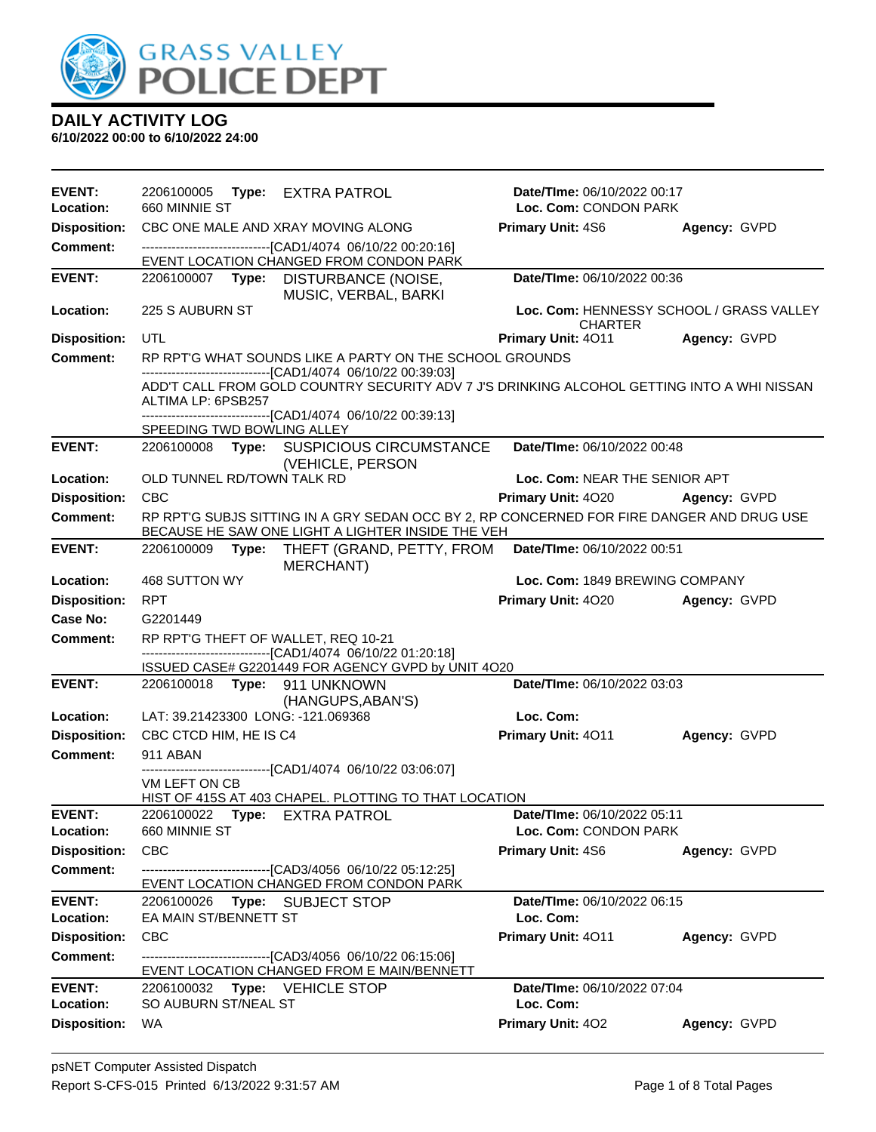

| <b>EVENT:</b>              | 2206100005                                            | Type: EXTRA PATROL                                                                                                                             | Date/TIme: 06/10/2022 00:17              |                     |
|----------------------------|-------------------------------------------------------|------------------------------------------------------------------------------------------------------------------------------------------------|------------------------------------------|---------------------|
| Location:                  | 660 MINNIE ST                                         |                                                                                                                                                | Loc. Com: CONDON PARK                    |                     |
| <b>Disposition:</b>        |                                                       | CBC ONE MALE AND XRAY MOVING ALONG                                                                                                             | <b>Primary Unit: 4S6</b>                 | Agency: GVPD        |
| <b>Comment:</b>            |                                                       | -------------------------------[CAD1/4074 06/10/22 00:20:16]                                                                                   |                                          |                     |
|                            |                                                       | EVENT LOCATION CHANGED FROM CONDON PARK                                                                                                        |                                          |                     |
| <b>EVENT:</b>              | 2206100007 Type:                                      | DISTURBANCE (NOISE,<br>MUSIC, VERBAL, BARKI                                                                                                    | Date/TIme: 06/10/2022 00:36              |                     |
| Location:                  | 225 S AUBURN ST                                       |                                                                                                                                                | Loc. Com: HENNESSY SCHOOL / GRASS VALLEY |                     |
|                            |                                                       |                                                                                                                                                | <b>CHARTER</b>                           |                     |
| <b>Disposition:</b>        | UTL                                                   |                                                                                                                                                | <b>Primary Unit: 4011</b>                | Agency: GVPD        |
| <b>Comment:</b>            |                                                       | RP RPT'G WHAT SOUNDS LIKE A PARTY ON THE SCHOOL GROUNDS<br>-------------------------------[CAD1/4074 06/10/22 00:39:03]                        |                                          |                     |
|                            |                                                       | ADD'T CALL FROM GOLD COUNTRY SECURITY ADV 7 J'S DRINKING ALCOHOL GETTING INTO A WHI NISSAN                                                     |                                          |                     |
|                            | ALTIMA LP: 6PSB257                                    |                                                                                                                                                |                                          |                     |
|                            | SPEEDING TWD BOWLING ALLEY                            | -------------------------------[CAD1/4074 06/10/22 00:39:13]                                                                                   |                                          |                     |
| <b>EVENT:</b>              |                                                       | 2206100008 Type: SUSPICIOUS CIRCUMSTANCE                                                                                                       | Date/TIme: 06/10/2022 00:48              |                     |
|                            |                                                       | (VEHICLE, PERSON                                                                                                                               |                                          |                     |
| Location:                  | OLD TUNNEL RD/TOWN TALK RD                            |                                                                                                                                                | Loc. Com: NEAR THE SENIOR APT            |                     |
| <b>Disposition:</b>        | <b>CBC</b>                                            |                                                                                                                                                | Primary Unit: 4020                       | <b>Agency: GVPD</b> |
| <b>Comment:</b>            |                                                       | RP RPT'G SUBJS SITTING IN A GRY SEDAN OCC BY 2, RP CONCERNED FOR FIRE DANGER AND DRUG USE<br>BECAUSE HE SAW ONE LIGHT A LIGHTER INSIDE THE VEH |                                          |                     |
| <b>EVENT:</b>              | 2206100009                                            | Type: THEFT (GRAND, PETTY, FROM<br>MERCHANT)                                                                                                   | Date/TIme: 06/10/2022 00:51              |                     |
| Location:                  | 468 SUTTON WY                                         |                                                                                                                                                | Loc. Com: 1849 BREWING COMPANY           |                     |
| <b>Disposition:</b>        | <b>RPT</b>                                            |                                                                                                                                                | <b>Primary Unit: 4020</b>                | Agency: GVPD        |
| <b>Case No:</b>            | G2201449                                              |                                                                                                                                                |                                          |                     |
| <b>Comment:</b>            | RP RPT'G THEFT OF WALLET, REQ 10-21                   |                                                                                                                                                |                                          |                     |
|                            |                                                       | -------------------------------[CAD1/4074 06/10/22 01:20:18]<br>ISSUED CASE# G2201449 FOR AGENCY GVPD by UNIT 4O20                             |                                          |                     |
| <b>EVENT:</b>              | 2206100018 Type: 911 UNKNOWN                          |                                                                                                                                                | Date/TIme: 06/10/2022 03:03              |                     |
|                            |                                                       | (HANGUPS, ABAN'S)                                                                                                                              |                                          |                     |
| Location:                  | LAT: 39.21423300 LONG: -121.069368                    |                                                                                                                                                | Loc. Com:                                |                     |
| <b>Disposition:</b>        | CBC CTCD HIM, HE IS C4                                |                                                                                                                                                | Primary Unit: 4011                       | Agency: GVPD        |
| <b>Comment:</b>            | 911 ABAN                                              |                                                                                                                                                |                                          |                     |
|                            | VM LEFT ON CB                                         | -------------------------------[CAD1/4074 06/10/22 03:06:07]                                                                                   |                                          |                     |
|                            |                                                       | HIST OF 415S AT 403 CHAPEL. PLOTTING TO THAT LOCATION                                                                                          |                                          |                     |
| <b>EVENT:</b>              | 2206100022 Type: EXTRA PATROL                         |                                                                                                                                                | Date/TIme: 06/10/2022 05:11              |                     |
| Location:                  | 660 MINNIE ST                                         |                                                                                                                                                | Loc. Com: CONDON PARK                    |                     |
| <b>Disposition:</b>        | <b>CBC</b>                                            |                                                                                                                                                | <b>Primary Unit: 4S6</b>                 | Agency: GVPD        |
| <b>Comment:</b>            |                                                       | -------------------------------[CAD3/4056 06/10/22 05:12:25]<br>EVENT LOCATION CHANGED FROM CONDON PARK                                        |                                          |                     |
| <b>EVENT:</b>              | 2206100026 Type: SUBJECT STOP                         |                                                                                                                                                | Date/TIme: 06/10/2022 06:15              |                     |
| Location:                  | EA MAIN ST/BENNETT ST                                 |                                                                                                                                                | Loc. Com:                                |                     |
| <b>Disposition:</b>        | <b>CBC</b>                                            |                                                                                                                                                | Primary Unit: 4011                       | Agency: GVPD        |
| <b>Comment:</b>            |                                                       | -------------------------------[CAD3/4056 06/10/22 06:15:06]<br>EVENT LOCATION CHANGED FROM E MAIN/BENNETT                                     |                                          |                     |
| <b>EVENT:</b><br>Location: | 2206100032 Type: VEHICLE STOP<br>SO AUBURN ST/NEAL ST |                                                                                                                                                | Date/TIme: 06/10/2022 07:04<br>Loc. Com: |                     |
| <b>Disposition:</b>        | <b>WA</b>                                             |                                                                                                                                                | Primary Unit: 402                        | Agency: GVPD        |
|                            |                                                       |                                                                                                                                                |                                          |                     |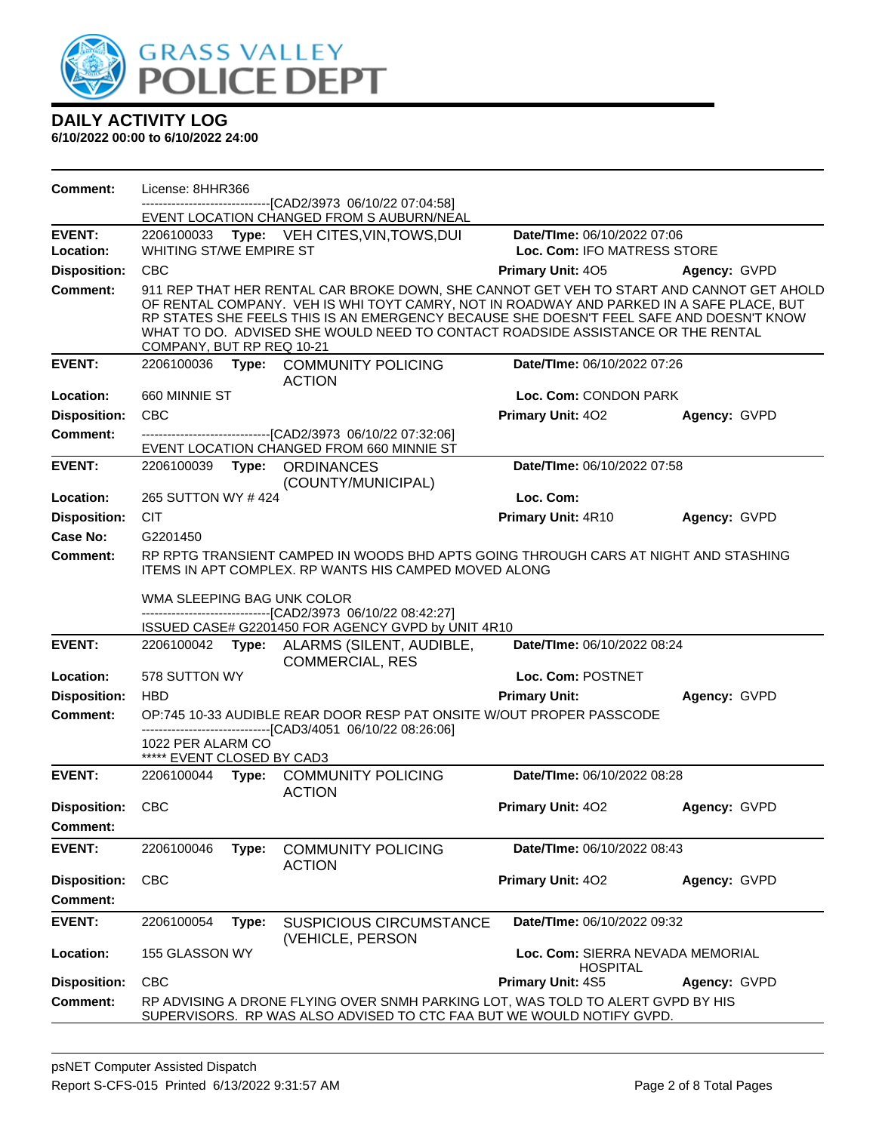

| Comment:            | License: 8HHR366                                                                                                                             |       |                                                                                                                                                                                                                                                                                                                                                                    |                                                     |              |
|---------------------|----------------------------------------------------------------------------------------------------------------------------------------------|-------|--------------------------------------------------------------------------------------------------------------------------------------------------------------------------------------------------------------------------------------------------------------------------------------------------------------------------------------------------------------------|-----------------------------------------------------|--------------|
|                     |                                                                                                                                              |       | -------------------------------[CAD2/3973_06/10/22_07:04:58]<br>EVENT LOCATION CHANGED FROM S AUBURN/NEAL                                                                                                                                                                                                                                                          |                                                     |              |
| <b>EVENT:</b>       |                                                                                                                                              |       | 2206100033 Type: VEH CITES, VIN, TOWS, DUI                                                                                                                                                                                                                                                                                                                         | Date/TIme: 06/10/2022 07:06                         |              |
| Location:           | WHITING ST/WE EMPIRE ST                                                                                                                      |       |                                                                                                                                                                                                                                                                                                                                                                    | Loc. Com: IFO MATRESS STORE                         |              |
| <b>Disposition:</b> | <b>CBC</b>                                                                                                                                   |       |                                                                                                                                                                                                                                                                                                                                                                    | Primary Unit: 405                                   | Agency: GVPD |
| <b>Comment:</b>     | COMPANY, BUT RP REQ 10-21                                                                                                                    |       | 911 REP THAT HER RENTAL CAR BROKE DOWN, SHE CANNOT GET VEH TO START AND CANNOT GET AHOLD<br>OF RENTAL COMPANY. VEH IS WHI TOYT CAMRY, NOT IN ROADWAY AND PARKED IN A SAFE PLACE, BUT<br>RP STATES SHE FEELS THIS IS AN EMERGENCY BECAUSE SHE DOESN'T FEEL SAFE AND DOESN'T KNOW<br>WHAT TO DO. ADVISED SHE WOULD NEED TO CONTACT ROADSIDE ASSISTANCE OR THE RENTAL |                                                     |              |
| <b>EVENT:</b>       | 2206100036                                                                                                                                   |       | Type: COMMUNITY POLICING<br><b>ACTION</b>                                                                                                                                                                                                                                                                                                                          | Date/TIme: 06/10/2022 07:26                         |              |
| Location:           | 660 MINNIE ST                                                                                                                                |       |                                                                                                                                                                                                                                                                                                                                                                    | Loc. Com: CONDON PARK                               |              |
| <b>Disposition:</b> | <b>CBC</b>                                                                                                                                   |       |                                                                                                                                                                                                                                                                                                                                                                    | <b>Primary Unit: 402</b>                            | Agency: GVPD |
| <b>Comment:</b>     |                                                                                                                                              |       | -------------------------------[CAD2/3973 06/10/22 07:32:06]<br>EVENT LOCATION CHANGED FROM 660 MINNIE ST                                                                                                                                                                                                                                                          |                                                     |              |
| <b>EVENT:</b>       |                                                                                                                                              |       | 2206100039 Type: ORDINANCES<br>(COUNTY/MUNICIPAL)                                                                                                                                                                                                                                                                                                                  | Date/TIme: 06/10/2022 07:58                         |              |
| Location:           | 265 SUTTON WY #424                                                                                                                           |       |                                                                                                                                                                                                                                                                                                                                                                    | Loc. Com:                                           |              |
| <b>Disposition:</b> | <b>CIT</b>                                                                                                                                   |       |                                                                                                                                                                                                                                                                                                                                                                    | Primary Unit: 4R10                                  | Agency: GVPD |
| Case No:            | G2201450                                                                                                                                     |       |                                                                                                                                                                                                                                                                                                                                                                    |                                                     |              |
| Comment:            | RP RPTG TRANSIENT CAMPED IN WOODS BHD APTS GOING THROUGH CARS AT NIGHT AND STASHING<br>ITEMS IN APT COMPLEX. RP WANTS HIS CAMPED MOVED ALONG |       |                                                                                                                                                                                                                                                                                                                                                                    |                                                     |              |
|                     | WMA SLEEPING BAG UNK COLOR                                                                                                                   |       | -------------------------------[CAD2/3973 06/10/22 08:42:27]                                                                                                                                                                                                                                                                                                       |                                                     |              |
| <b>EVENT:</b>       |                                                                                                                                              |       | ISSUED CASE# G2201450 FOR AGENCY GVPD by UNIT 4R10                                                                                                                                                                                                                                                                                                                 | Date/TIme: 06/10/2022 08:24                         |              |
|                     |                                                                                                                                              |       | 2206100042 Type: ALARMS (SILENT, AUDIBLE,<br><b>COMMERCIAL, RES</b>                                                                                                                                                                                                                                                                                                |                                                     |              |
| Location:           | 578 SUTTON WY                                                                                                                                |       |                                                                                                                                                                                                                                                                                                                                                                    | Loc. Com: POSTNET                                   |              |
| <b>Disposition:</b> | <b>HBD</b>                                                                                                                                   |       |                                                                                                                                                                                                                                                                                                                                                                    | <b>Primary Unit:</b>                                | Agency: GVPD |
| <b>Comment:</b>     |                                                                                                                                              |       | OP:745 10-33 AUDIBLE REAR DOOR RESP PAT ONSITE W/OUT PROPER PASSCODE<br>--------------------[CAD3/4051 06/10/22 08:26:06]                                                                                                                                                                                                                                          |                                                     |              |
|                     | 1022 PER ALARM CO<br>***** EVENT CLOSED BY CAD3                                                                                              |       |                                                                                                                                                                                                                                                                                                                                                                    |                                                     |              |
| <b>EVENT:</b>       |                                                                                                                                              |       | 2206100044 Type: COMMUNITY POLICING<br><b>ACTION</b>                                                                                                                                                                                                                                                                                                               | Date/TIme: 06/10/2022 08:28                         |              |
| <b>Disposition:</b> | <b>CBC</b>                                                                                                                                   |       |                                                                                                                                                                                                                                                                                                                                                                    | <b>Primary Unit: 402</b>                            | Agency: GVPD |
| <b>Comment:</b>     |                                                                                                                                              |       |                                                                                                                                                                                                                                                                                                                                                                    |                                                     |              |
| <b>EVENT:</b>       | 2206100046                                                                                                                                   | Type: | <b>COMMUNITY POLICING</b><br><b>ACTION</b>                                                                                                                                                                                                                                                                                                                         | Date/TIme: 06/10/2022 08:43                         |              |
| <b>Disposition:</b> | <b>CBC</b>                                                                                                                                   |       |                                                                                                                                                                                                                                                                                                                                                                    | Primary Unit: 402                                   | Agency: GVPD |
| <b>Comment:</b>     |                                                                                                                                              |       |                                                                                                                                                                                                                                                                                                                                                                    |                                                     |              |
| <b>EVENT:</b>       | 2206100054                                                                                                                                   | Type: | <b>SUSPICIOUS CIRCUMSTANCE</b><br>(VEHICLE, PERSON                                                                                                                                                                                                                                                                                                                 | Date/TIme: 06/10/2022 09:32                         |              |
| Location:           | 155 GLASSON WY                                                                                                                               |       |                                                                                                                                                                                                                                                                                                                                                                    | Loc. Com: SIERRA NEVADA MEMORIAL<br><b>HOSPITAL</b> |              |
| <b>Disposition:</b> | <b>CBC</b>                                                                                                                                   |       |                                                                                                                                                                                                                                                                                                                                                                    | <b>Primary Unit: 4S5</b>                            | Agency: GVPD |
| <b>Comment:</b>     |                                                                                                                                              |       | RP ADVISING A DRONE FLYING OVER SNMH PARKING LOT, WAS TOLD TO ALERT GVPD BY HIS<br>SUPERVISORS. RP WAS ALSO ADVISED TO CTC FAA BUT WE WOULD NOTIFY GVPD.                                                                                                                                                                                                           |                                                     |              |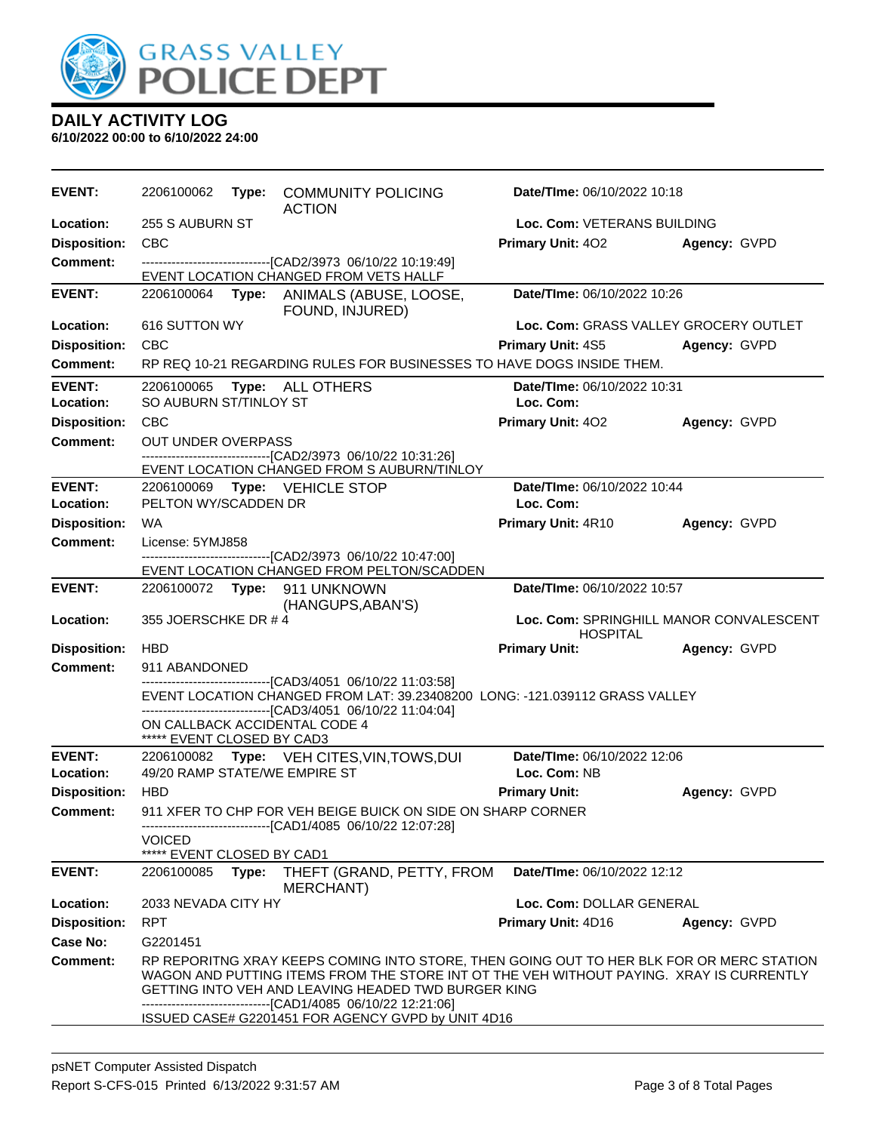

| <b>EVENT:</b>       | 2206100062                    |       | Type: COMMUNITY POLICING<br><b>ACTION</b>                                                                                                                                                                                                                                                                                                                     | Date/TIme: 06/10/2022 10:18                                |              |  |
|---------------------|-------------------------------|-------|---------------------------------------------------------------------------------------------------------------------------------------------------------------------------------------------------------------------------------------------------------------------------------------------------------------------------------------------------------------|------------------------------------------------------------|--------------|--|
| Location:           | 255 S AUBURN ST               |       |                                                                                                                                                                                                                                                                                                                                                               | Loc. Com: VETERANS BUILDING                                |              |  |
| <b>Disposition:</b> | <b>CBC</b>                    |       |                                                                                                                                                                                                                                                                                                                                                               | <b>Primary Unit: 402</b>                                   | Agency: GVPD |  |
| <b>Comment:</b>     |                               |       | ---------------------------------[CAD2/3973 06/10/22 10:19:49]<br>EVENT LOCATION CHANGED FROM VETS HALLF                                                                                                                                                                                                                                                      |                                                            |              |  |
| <b>EVENT:</b>       |                               |       | 2206100064 Type: ANIMALS (ABUSE, LOOSE,<br>FOUND, INJURED)                                                                                                                                                                                                                                                                                                    | Date/TIme: 06/10/2022 10:26                                |              |  |
| Location:           | 616 SUTTON WY                 |       |                                                                                                                                                                                                                                                                                                                                                               | Loc. Com: GRASS VALLEY GROCERY OUTLET                      |              |  |
| <b>Disposition:</b> | <b>CBC</b>                    |       |                                                                                                                                                                                                                                                                                                                                                               | <b>Primary Unit: 4S5</b>                                   | Agency: GVPD |  |
| <b>Comment:</b>     |                               |       | RP REQ 10-21 REGARDING RULES FOR BUSINESSES TO HAVE DOGS INSIDE THEM.                                                                                                                                                                                                                                                                                         |                                                            |              |  |
| <b>EVENT:</b>       | 2206100065                    |       | Type: ALL OTHERS                                                                                                                                                                                                                                                                                                                                              | Date/TIme: 06/10/2022 10:31                                |              |  |
| Location:           | SO AUBURN ST/TINLOY ST        |       |                                                                                                                                                                                                                                                                                                                                                               | Loc. Com:                                                  |              |  |
| <b>Disposition:</b> | <b>CBC</b>                    |       |                                                                                                                                                                                                                                                                                                                                                               | <b>Primary Unit: 402</b>                                   | Agency: GVPD |  |
| <b>Comment:</b>     | <b>OUT UNDER OVERPASS</b>     |       | -------------------------------[CAD2/3973_06/10/22_10:31:26]                                                                                                                                                                                                                                                                                                  |                                                            |              |  |
|                     |                               |       | EVENT LOCATION CHANGED FROM S AUBURN/TINLOY                                                                                                                                                                                                                                                                                                                   |                                                            |              |  |
| <b>EVENT:</b>       |                               |       | 2206100069 Type: VEHICLE STOP                                                                                                                                                                                                                                                                                                                                 | Date/TIme: 06/10/2022 10:44                                |              |  |
| Location:           | PELTON WY/SCADDEN DR          |       |                                                                                                                                                                                                                                                                                                                                                               | Loc. Com:                                                  |              |  |
| <b>Disposition:</b> | <b>WA</b>                     |       |                                                                                                                                                                                                                                                                                                                                                               | Primary Unit: 4R10                                         | Agency: GVPD |  |
| <b>Comment:</b>     | License: 5YMJ858              |       | --------------------------------[CAD2/3973 06/10/22 10:47:00]                                                                                                                                                                                                                                                                                                 |                                                            |              |  |
|                     |                               |       | EVENT LOCATION CHANGED FROM PELTON/SCADDEN                                                                                                                                                                                                                                                                                                                    |                                                            |              |  |
| <b>EVENT:</b>       |                               |       | 2206100072 Type: 911 UNKNOWN                                                                                                                                                                                                                                                                                                                                  | Date/TIme: 06/10/2022 10:57                                |              |  |
|                     |                               |       | (HANGUPS, ABAN'S)                                                                                                                                                                                                                                                                                                                                             |                                                            |              |  |
| Location:           | 355 JOERSCHKE DR #4           |       |                                                                                                                                                                                                                                                                                                                                                               | Loc. Com: SPRINGHILL MANOR CONVALESCENT<br><b>HOSPITAL</b> |              |  |
| <b>Disposition:</b> | <b>HBD</b>                    |       |                                                                                                                                                                                                                                                                                                                                                               | <b>Primary Unit:</b>                                       | Agency: GVPD |  |
| <b>Comment:</b>     | 911 ABANDONED                 |       | -------------------------------[CAD3/4051_06/10/22 11:03:58]                                                                                                                                                                                                                                                                                                  |                                                            |              |  |
|                     |                               |       | EVENT LOCATION CHANGED FROM LAT: 39.23408200 LONG: -121.039112 GRASS VALLEY<br>-------------------------------[CAD3/4051 06/10/22 11:04:04]                                                                                                                                                                                                                   |                                                            |              |  |
|                     | ***** EVENT CLOSED BY CAD3    |       | ON CALLBACK ACCIDENTAL CODE 4                                                                                                                                                                                                                                                                                                                                 |                                                            |              |  |
| <b>EVENT:</b>       |                               |       | 2206100082 Type: VEH CITES, VIN, TOWS, DUI                                                                                                                                                                                                                                                                                                                    | Date/TIme: 06/10/2022 12:06                                |              |  |
| Location:           | 49/20 RAMP STATE/WE EMPIRE ST |       |                                                                                                                                                                                                                                                                                                                                                               | Loc. Com: NB                                               |              |  |
| <b>Disposition:</b> | <b>HBD</b>                    |       |                                                                                                                                                                                                                                                                                                                                                               | <b>Primary Unit:</b>                                       | Agency: GVPD |  |
| <b>Comment:</b>     |                               |       | 911 XFER TO CHP FOR VEH BEIGE BUICK ON SIDE ON SHARP CORNER<br>-------------------------------[CAD1/4085 06/10/22 12:07:28]                                                                                                                                                                                                                                   |                                                            |              |  |
|                     | <b>VOICED</b>                 |       |                                                                                                                                                                                                                                                                                                                                                               |                                                            |              |  |
|                     | ***** EVENT CLOSED BY CAD1    |       |                                                                                                                                                                                                                                                                                                                                                               |                                                            |              |  |
| <b>EVENT:</b>       |                               |       |                                                                                                                                                                                                                                                                                                                                                               |                                                            |              |  |
|                     | 2206100085                    | Type: | THEFT (GRAND, PETTY, FROM<br>MERCHANT)                                                                                                                                                                                                                                                                                                                        | Date/TIme: 06/10/2022 12:12                                |              |  |
| Location:           | 2033 NEVADA CITY HY           |       |                                                                                                                                                                                                                                                                                                                                                               | Loc. Com: DOLLAR GENERAL                                   |              |  |
| <b>Disposition:</b> | <b>RPT</b>                    |       |                                                                                                                                                                                                                                                                                                                                                               | <b>Primary Unit: 4D16</b>                                  | Agency: GVPD |  |
| Case No:            | G2201451                      |       |                                                                                                                                                                                                                                                                                                                                                               |                                                            |              |  |
| <b>Comment:</b>     |                               |       | RP REPORITNG XRAY KEEPS COMING INTO STORE, THEN GOING OUT TO HER BLK FOR OR MERC STATION<br>WAGON AND PUTTING ITEMS FROM THE STORE INT OT THE VEH WITHOUT PAYING. XRAY IS CURRENTLY<br>GETTING INTO VEH AND LEAVING HEADED TWD BURGER KING<br>----------------------------[CAD1/4085_06/10/22 12:21:06]<br>ISSUED CASE# G2201451 FOR AGENCY GVPD by UNIT 4D16 |                                                            |              |  |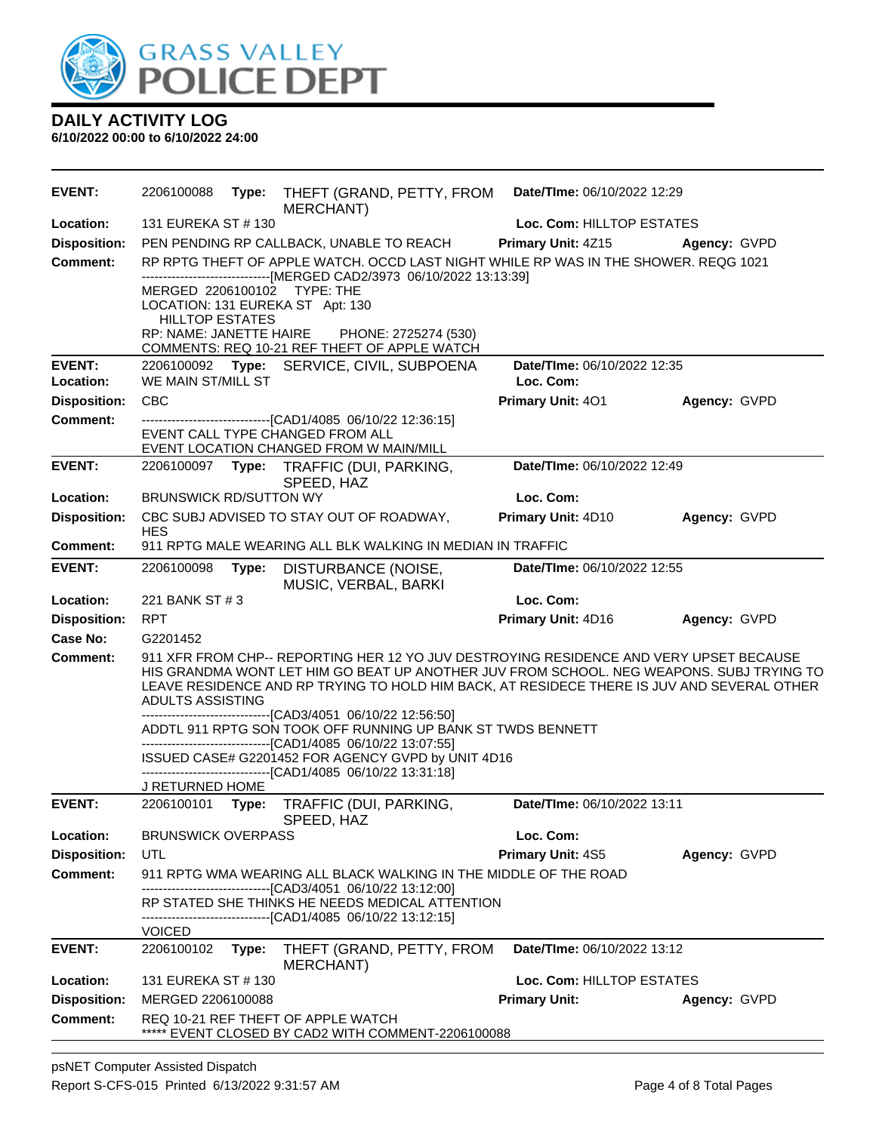

| <b>EVENT:</b>                          | 2206100088                    | Type: | THEFT (GRAND, PETTY, FROM<br>MERCHANT)                                                                                                                                                                                                                                           | Date/TIme: 06/10/2022 12:29 |              |
|----------------------------------------|-------------------------------|-------|----------------------------------------------------------------------------------------------------------------------------------------------------------------------------------------------------------------------------------------------------------------------------------|-----------------------------|--------------|
| Location:                              | 131 EUREKA ST # 130           |       |                                                                                                                                                                                                                                                                                  | Loc. Com: HILLTOP ESTATES   |              |
| <b>Disposition:</b>                    |                               |       | PEN PENDING RP CALLBACK, UNABLE TO REACH                                                                                                                                                                                                                                         | <b>Primary Unit: 4Z15</b>   | Agency: GVPD |
| <b>Comment:</b>                        |                               |       | RP RPTG THEFT OF APPLE WATCH. OCCD LAST NIGHT WHILE RP WAS IN THE SHOWER. REQG 1021<br>------------------------------[MERGED CAD2/3973 06/10/2022 13:13:39]                                                                                                                      |                             |              |
|                                        | <b>HILLTOP ESTATES</b>        |       | MERGED 2206100102 TYPE: THE<br>LOCATION: 131 EUREKA ST Apt: 130                                                                                                                                                                                                                  |                             |              |
|                                        | RP: NAME: JANETTE HAIRE       |       | PHONE: 2725274 (530)<br>COMMENTS: REQ 10-21 REF THEFT OF APPLE WATCH                                                                                                                                                                                                             |                             |              |
| <b>EVENT:</b>                          |                               |       | 2206100092 Type: SERVICE, CIVIL, SUBPOENA                                                                                                                                                                                                                                        | Date/TIme: 06/10/2022 12:35 |              |
| Location:                              | WE MAIN ST/MILL ST            |       |                                                                                                                                                                                                                                                                                  | Loc. Com:                   |              |
| <b>Disposition:</b>                    | <b>CBC</b>                    |       |                                                                                                                                                                                                                                                                                  | Primary Unit: 401           | Agency: GVPD |
| <b>Comment:</b>                        |                               |       | -------------------------------[CAD1/4085 06/10/22 12:36:15]<br>EVENT CALL TYPE CHANGED FROM ALL<br>EVENT LOCATION CHANGED FROM W MAIN/MILL                                                                                                                                      |                             |              |
| <b>EVENT:</b>                          |                               |       | 2206100097 Type: TRAFFIC (DUI, PARKING,<br>SPEED, HAZ                                                                                                                                                                                                                            | Date/TIme: 06/10/2022 12:49 |              |
| Location:                              | <b>BRUNSWICK RD/SUTTON WY</b> |       |                                                                                                                                                                                                                                                                                  | Loc. Com:                   |              |
| <b>Disposition:</b>                    | <b>HES</b>                    |       | CBC SUBJ ADVISED TO STAY OUT OF ROADWAY,                                                                                                                                                                                                                                         | Primary Unit: 4D10          | Agency: GVPD |
| <b>Comment:</b>                        |                               |       | 911 RPTG MALE WEARING ALL BLK WALKING IN MEDIAN IN TRAFFIC                                                                                                                                                                                                                       |                             |              |
| <b>EVENT:</b>                          | 2206100098                    | Type: | DISTURBANCE (NOISE,<br>MUSIC, VERBAL, BARKI                                                                                                                                                                                                                                      | Date/TIme: 06/10/2022 12:55 |              |
| Location:                              | 221 BANK ST # 3               |       |                                                                                                                                                                                                                                                                                  | Loc. Com:                   |              |
| <b>Disposition:</b>                    | <b>RPT</b>                    |       |                                                                                                                                                                                                                                                                                  | Primary Unit: 4D16          | Agency: GVPD |
| Case No:                               | G2201452                      |       |                                                                                                                                                                                                                                                                                  |                             |              |
| <b>Comment:</b>                        | ADULTS ASSISTING              |       | 911 XFR FROM CHP-- REPORTING HER 12 YO JUV DESTROYING RESIDENCE AND VERY UPSET BECAUSE<br>HIS GRANDMA WONT LET HIM GO BEAT UP ANOTHER JUV FROM SCHOOL. NEG WEAPONS, SUBJ TRYING TO<br>LEAVE RESIDENCE AND RP TRYING TO HOLD HIM BACK, AT RESIDECE THERE IS JUV AND SEVERAL OTHER |                             |              |
|                                        |                               |       | --------------------[CAD3/4051_06/10/22 12:56:50]<br>ADDTL 911 RPTG SON TOOK OFF RUNNING UP BANK ST TWDS BENNETT<br>-------------------------------[CAD1/4085 06/10/22 13:07:55]                                                                                                 |                             |              |
|                                        |                               |       | ISSUED CASE# G2201452 FOR AGENCY GVPD by UNIT 4D16<br>----------------------[CAD1/4085 06/10/22 13:31:18]                                                                                                                                                                        |                             |              |
|                                        | J RETURNED HOME               |       |                                                                                                                                                                                                                                                                                  |                             |              |
| <b>EVENT:</b>                          | 2206100101                    | Type: | TRAFFIC (DUI, PARKING,<br>SPEED, HAZ                                                                                                                                                                                                                                             | Date/TIme: 06/10/2022 13:11 |              |
| Location:                              | <b>BRUNSWICK OVERPASS</b>     |       |                                                                                                                                                                                                                                                                                  | Loc. Com:                   |              |
| <b>Disposition:</b>                    | UTL                           |       |                                                                                                                                                                                                                                                                                  | Primary Unit: 4S5           | Agency: GVPD |
| <b>Comment:</b>                        |                               |       | 911 RPTG WMA WEARING ALL BLACK WALKING IN THE MIDDLE OF THE ROAD<br>-------------------------------[CAD3/4051_06/10/22 13:12:00]                                                                                                                                                 |                             |              |
|                                        |                               |       | RP STATED SHE THINKS HE NEEDS MEDICAL ATTENTION<br>-----------------[CAD1/4085_06/10/22 13:12:15]                                                                                                                                                                                |                             |              |
|                                        | <b>VOICED</b>                 |       |                                                                                                                                                                                                                                                                                  |                             |              |
| <b>EVENT:</b>                          | 2206100102                    | Type: | THEFT (GRAND, PETTY, FROM<br>MERCHANT)                                                                                                                                                                                                                                           | Date/TIme: 06/10/2022 13:12 |              |
| Location:                              | 131 EUREKA ST # 130           |       |                                                                                                                                                                                                                                                                                  | Loc. Com: HILLTOP ESTATES   |              |
| <b>Disposition:</b><br><b>Comment:</b> | MERGED 2206100088             |       | REQ 10-21 REF THEFT OF APPLE WATCH                                                                                                                                                                                                                                               | <b>Primary Unit:</b>        | Agency: GVPD |
|                                        |                               |       | ***** EVENT CLOSED BY CAD2 WITH COMMENT-2206100088                                                                                                                                                                                                                               |                             |              |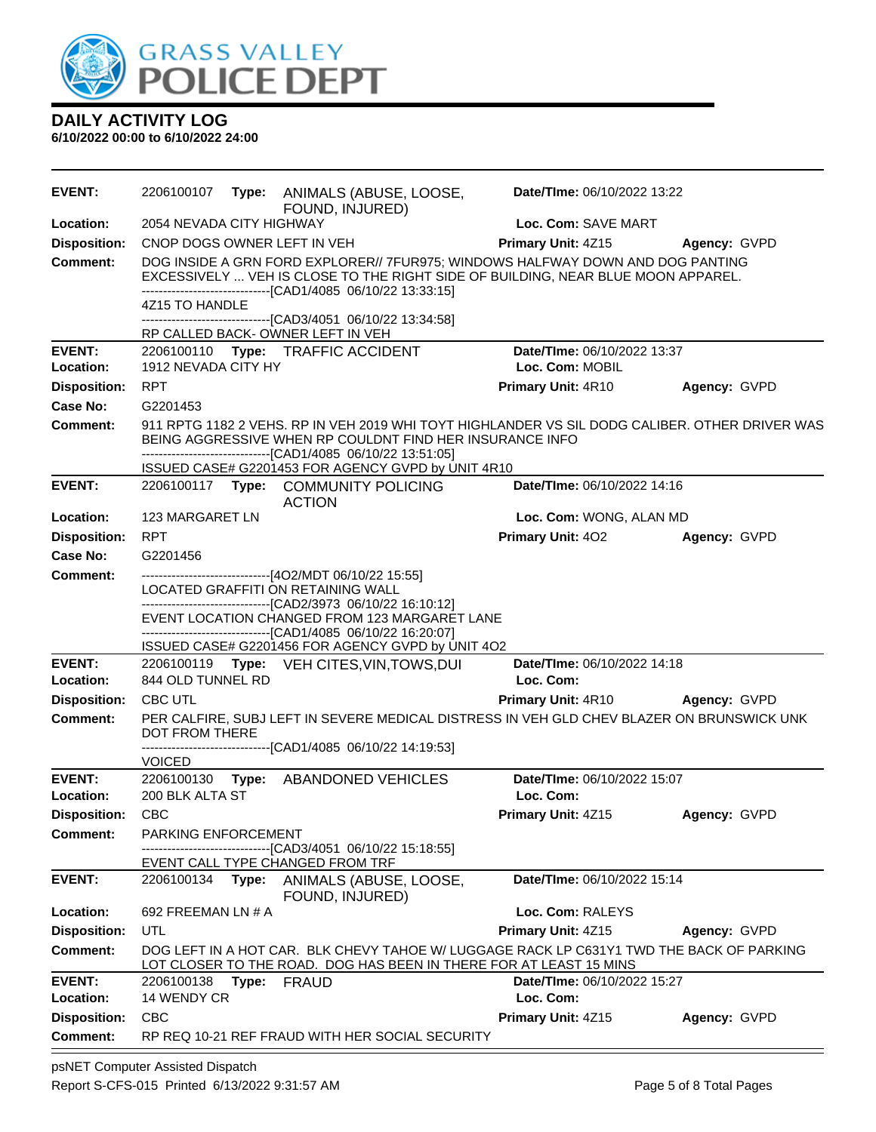

**6/10/2022 00:00 to 6/10/2022 24:00**

| <b>EVENT:</b>       |                             |       | 2206100107 Type: ANIMALS (ABUSE, LOOSE,                                                                                                                                                                                            | Date/TIme: 06/10/2022 13:22 |              |
|---------------------|-----------------------------|-------|------------------------------------------------------------------------------------------------------------------------------------------------------------------------------------------------------------------------------------|-----------------------------|--------------|
| Location:           | 2054 NEVADA CITY HIGHWAY    |       | FOUND, INJURED)                                                                                                                                                                                                                    | Loc. Com: SAVE MART         |              |
| <b>Disposition:</b> | CNOP DOGS OWNER LEFT IN VEH |       |                                                                                                                                                                                                                                    | Primary Unit: 4Z15          | Agency: GVPD |
| Comment:            |                             |       | DOG INSIDE A GRN FORD EXPLORER// 7FUR975; WINDOWS HALFWAY DOWN AND DOG PANTING<br>EXCESSIVELY  VEH IS CLOSE TO THE RIGHT SIDE OF BUILDING, NEAR BLUE MOON APPAREL.<br>-------------------------------[CAD1/4085 06/10/22 13:33:15] |                             |              |
|                     | 4Z15 TO HANDLE              |       | -------------------------------[CAD3/4051 06/10/22 13:34:58]                                                                                                                                                                       |                             |              |
|                     |                             |       | RP CALLED BACK-OWNER LEFT IN VEH                                                                                                                                                                                                   |                             |              |
| <b>EVENT:</b>       |                             |       | 2206100110 Type: TRAFFIC ACCIDENT                                                                                                                                                                                                  | Date/TIme: 06/10/2022 13:37 |              |
| Location:           | 1912 NEVADA CITY HY         |       |                                                                                                                                                                                                                                    | Loc. Com: MOBIL             |              |
| <b>Disposition:</b> | <b>RPT</b>                  |       |                                                                                                                                                                                                                                    | Primary Unit: 4R10          | Agency: GVPD |
| Case No:            | G2201453                    |       |                                                                                                                                                                                                                                    |                             |              |
| <b>Comment:</b>     |                             |       | 911 RPTG 1182 2 VEHS. RP IN VEH 2019 WHI TOYT HIGHLANDER VS SIL DODG CALIBER. OTHER DRIVER WAS<br>BEING AGGRESSIVE WHEN RP COULDNT FIND HER INSURANCE INFO<br>-------------------------------[CAD1/4085 06/10/22 13:51:05]         |                             |              |
|                     |                             |       | ISSUED CASE# G2201453 FOR AGENCY GVPD by UNIT 4R10                                                                                                                                                                                 |                             |              |
| <b>EVENT:</b>       |                             |       | 2206100117 Type: COMMUNITY POLICING<br><b>ACTION</b>                                                                                                                                                                               | Date/TIme: 06/10/2022 14:16 |              |
| Location:           | 123 MARGARET LN             |       |                                                                                                                                                                                                                                    | Loc. Com: WONG, ALAN MD     |              |
| <b>Disposition:</b> | <b>RPT</b>                  |       |                                                                                                                                                                                                                                    | <b>Primary Unit: 402</b>    | Agency: GVPD |
| Case No:            | G2201456                    |       |                                                                                                                                                                                                                                    |                             |              |
| <b>Comment:</b>     |                             |       | --------------------------------[4O2/MDT 06/10/22 15:55]<br>LOCATED GRAFFITI ON RETAINING WALL                                                                                                                                     |                             |              |
|                     |                             |       | -------------------------------[CAD2/3973 06/10/22 16:10:12]<br>EVENT LOCATION CHANGED FROM 123 MARGARET LANE                                                                                                                      |                             |              |
|                     |                             |       | ------------------------[CAD1/4085 06/10/22 16:20:07]                                                                                                                                                                              |                             |              |
| <b>EVENT:</b>       |                             |       | ISSUED CASE# G2201456 FOR AGENCY GVPD by UNIT 4O2                                                                                                                                                                                  | Date/TIme: 06/10/2022 14:18 |              |
| Location:           | 844 OLD TUNNEL RD           |       | 2206100119 Type: VEH CITES, VIN, TOWS, DUI                                                                                                                                                                                         | Loc. Com:                   |              |
| <b>Disposition:</b> | CBC UTL                     |       |                                                                                                                                                                                                                                    | <b>Primary Unit: 4R10</b>   | Agency: GVPD |
| <b>Comment:</b>     | DOT FROM THERE              |       | PER CALFIRE, SUBJ LEFT IN SEVERE MEDICAL DISTRESS IN VEH GLD CHEV BLAZER ON BRUNSWICK UNK<br>-------------------------------[CAD1/4085 06/10/22 14:19:53]                                                                          |                             |              |
|                     | <b>VOICED</b>               |       |                                                                                                                                                                                                                                    |                             |              |
| <b>EVENT:</b>       |                             |       | 2206100130 Type: ABANDONED VEHICLES                                                                                                                                                                                                | Date/TIme: 06/10/2022 15:07 |              |
| Location:           | 200 BLK ALTA ST             |       |                                                                                                                                                                                                                                    | Loc. Com:                   |              |
| <b>Disposition:</b> | <b>CBC</b>                  |       |                                                                                                                                                                                                                                    | <b>Primary Unit: 4Z15</b>   | Agency: GVPD |
| <b>Comment:</b>     | PARKING ENFORCEMENT         |       | --[CAD3/4051 06/10/22 15:18:55]                                                                                                                                                                                                    |                             |              |
|                     |                             |       | EVENT CALL TYPE CHANGED FROM TRF                                                                                                                                                                                                   |                             |              |
| <b>EVENT:</b>       | 2206100134                  |       | Type: ANIMALS (ABUSE, LOOSE,<br>FOUND, INJURED)                                                                                                                                                                                    | Date/TIme: 06/10/2022 15:14 |              |
| Location:           | 692 FREEMAN LN # A          |       |                                                                                                                                                                                                                                    | Loc. Com: RALEYS            |              |
| <b>Disposition:</b> | UTL                         |       |                                                                                                                                                                                                                                    | Primary Unit: 4Z15          | Agency: GVPD |
| <b>Comment:</b>     |                             |       | DOG LEFT IN A HOT CAR. BLK CHEVY TAHOE W/ LUGGAGE RACK LP C631Y1 TWD THE BACK OF PARKING<br>LOT CLOSER TO THE ROAD. DOG HAS BEEN IN THERE FOR AT LEAST 15 MINS                                                                     |                             |              |
| <b>EVENT:</b>       | 2206100138                  | Type: | <b>FRAUD</b>                                                                                                                                                                                                                       | Date/TIme: 06/10/2022 15:27 |              |
| Location:           | 14 WENDY CR                 |       |                                                                                                                                                                                                                                    | Loc. Com:                   |              |
| <b>Disposition:</b> | <b>CBC</b>                  |       |                                                                                                                                                                                                                                    | Primary Unit: 4Z15          | Agency: GVPD |
| <b>Comment:</b>     |                             |       | RP REQ 10-21 REF FRAUD WITH HER SOCIAL SECURITY                                                                                                                                                                                    |                             |              |

psNET Computer Assisted Dispatch Report S-CFS-015 Printed 6/13/2022 9:31:57 AM Page 5 of 8 Total Pages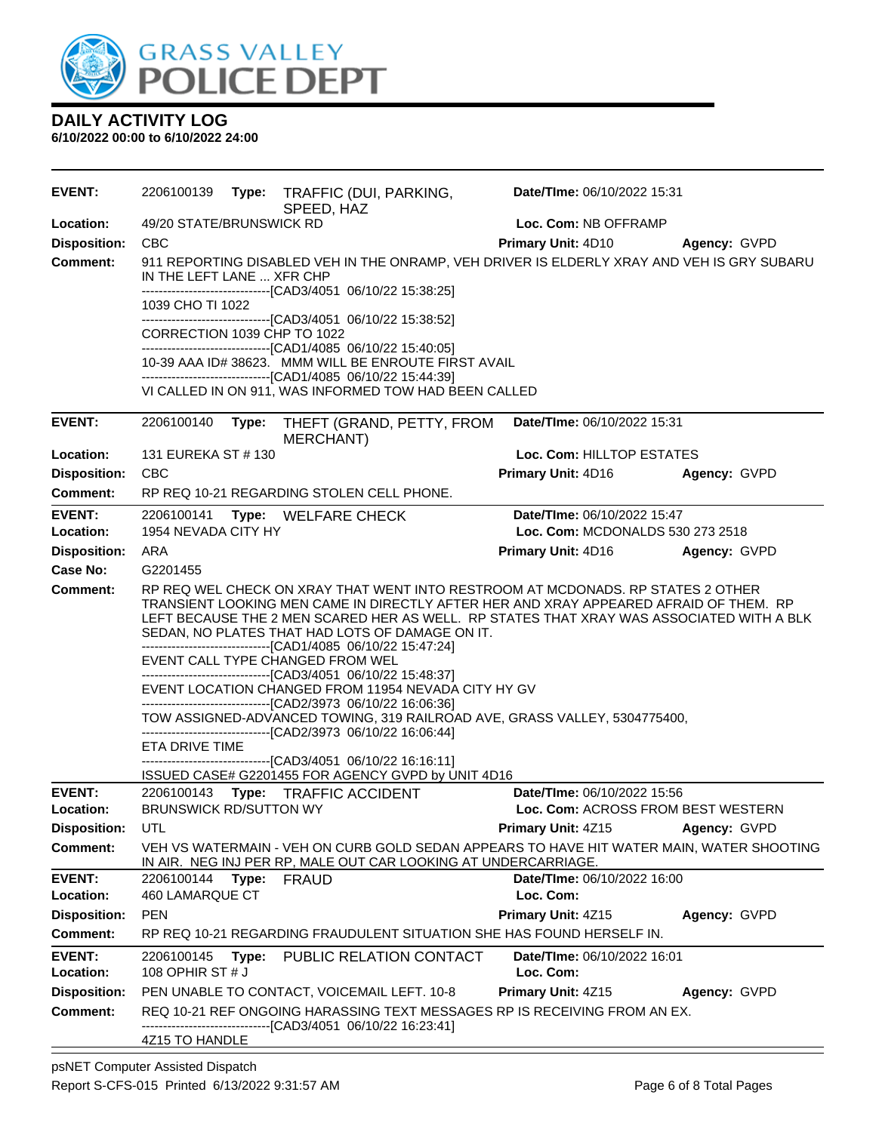

| <b>EVENT:</b>              | 2206100139                                                                                                                                                                                                                                                                                                                                                                              |       | Type: TRAFFIC (DUI, PARKING,<br>SPEED, HAZ                                                                                                                                                                  | Date/TIme: 06/10/2022 15:31              |                                                                                            |
|----------------------------|-----------------------------------------------------------------------------------------------------------------------------------------------------------------------------------------------------------------------------------------------------------------------------------------------------------------------------------------------------------------------------------------|-------|-------------------------------------------------------------------------------------------------------------------------------------------------------------------------------------------------------------|------------------------------------------|--------------------------------------------------------------------------------------------|
| Location:                  | 49/20 STATE/BRUNSWICK RD                                                                                                                                                                                                                                                                                                                                                                |       |                                                                                                                                                                                                             | Loc. Com: NB OFFRAMP                     |                                                                                            |
| <b>Disposition:</b>        | <b>CBC</b>                                                                                                                                                                                                                                                                                                                                                                              |       |                                                                                                                                                                                                             | Primary Unit: 4D10                       | Agency: GVPD                                                                               |
| <b>Comment:</b>            | IN THE LEFT LANE  XFR CHP                                                                                                                                                                                                                                                                                                                                                               |       | -------------------------------[CAD3/4051 06/10/22 15:38:25]                                                                                                                                                |                                          | 911 REPORTING DISABLED VEH IN THE ONRAMP, VEH DRIVER IS ELDERLY XRAY AND VEH IS GRY SUBARU |
|                            | 1039 CHO TI 1022                                                                                                                                                                                                                                                                                                                                                                        |       |                                                                                                                                                                                                             |                                          |                                                                                            |
|                            | CORRECTION 1039 CHP TO 1022                                                                                                                                                                                                                                                                                                                                                             |       | --------------------------------[CAD3/4051 06/10/22 15:38:52]                                                                                                                                               |                                          |                                                                                            |
|                            |                                                                                                                                                                                                                                                                                                                                                                                         |       | -------------------------------[CAD1/4085 06/10/22 15:40:05]<br>10-39 AAA ID# 38623. MMM WILL BE ENROUTE FIRST AVAIL                                                                                        |                                          |                                                                                            |
|                            |                                                                                                                                                                                                                                                                                                                                                                                         |       | -------------------------------[CAD1/4085 06/10/22 15:44:39]                                                                                                                                                |                                          |                                                                                            |
|                            |                                                                                                                                                                                                                                                                                                                                                                                         |       | VI CALLED IN ON 911, WAS INFORMED TOW HAD BEEN CALLED                                                                                                                                                       |                                          |                                                                                            |
| <b>EVENT:</b>              | 2206100140                                                                                                                                                                                                                                                                                                                                                                              | Type: | THEFT (GRAND, PETTY, FROM<br><b>MERCHANT)</b>                                                                                                                                                               | Date/TIme: 06/10/2022 15:31              |                                                                                            |
| Location:                  | 131 EUREKA ST # 130                                                                                                                                                                                                                                                                                                                                                                     |       |                                                                                                                                                                                                             | Loc. Com: HILLTOP ESTATES                |                                                                                            |
| <b>Disposition:</b>        | <b>CBC</b>                                                                                                                                                                                                                                                                                                                                                                              |       |                                                                                                                                                                                                             | <b>Primary Unit: 4D16</b>                | Agency: GVPD                                                                               |
| <b>Comment:</b>            |                                                                                                                                                                                                                                                                                                                                                                                         |       | RP REQ 10-21 REGARDING STOLEN CELL PHONE.                                                                                                                                                                   |                                          |                                                                                            |
| <b>EVENT:</b>              | 2206100141                                                                                                                                                                                                                                                                                                                                                                              |       | Type: WELFARE CHECK                                                                                                                                                                                         | <b>Date/TIme: 06/10/2022 15:47</b>       |                                                                                            |
| Location:                  | 1954 NEVADA CITY HY                                                                                                                                                                                                                                                                                                                                                                     |       |                                                                                                                                                                                                             |                                          | Loc. Com: MCDONALDS 530 273 2518                                                           |
| <b>Disposition:</b>        | ARA                                                                                                                                                                                                                                                                                                                                                                                     |       |                                                                                                                                                                                                             | <b>Primary Unit: 4D16</b>                | Agency: GVPD                                                                               |
| Case No:                   | G2201455                                                                                                                                                                                                                                                                                                                                                                                |       |                                                                                                                                                                                                             |                                          |                                                                                            |
| Comment:                   | RP REQ WEL CHECK ON XRAY THAT WENT INTO RESTROOM AT MCDONADS. RP STATES 2 OTHER<br>TRANSIENT LOOKING MEN CAME IN DIRECTLY AFTER HER AND XRAY APPEARED AFRAID OF THEM. RP<br>LEFT BECAUSE THE 2 MEN SCARED HER AS WELL. RP STATES THAT XRAY WAS ASSOCIATED WITH A BLK<br>SEDAN, NO PLATES THAT HAD LOTS OF DAMAGE ON IT.<br>-------------------------------[CAD1/4085 06/10/22 15:47:24] |       |                                                                                                                                                                                                             |                                          |                                                                                            |
|                            |                                                                                                                                                                                                                                                                                                                                                                                         |       | EVENT CALL TYPE CHANGED FROM WEL<br>-------------------------------[CAD3/4051 06/10/22 15:48:37]<br>EVENT LOCATION CHANGED FROM 11954 NEVADA CITY HY GV                                                     |                                          |                                                                                            |
|                            |                                                                                                                                                                                                                                                                                                                                                                                         |       | --------------------------------[CAD2/3973 06/10/22 16:06:36]<br>TOW ASSIGNED-ADVANCED TOWING, 319 RAILROAD AVE, GRASS VALLEY, 5304775400,<br>--------------------------------[CAD2/3973 06/10/22 16:06:44] |                                          |                                                                                            |
|                            | ETA DRIVE TIME                                                                                                                                                                                                                                                                                                                                                                          |       | -------------------------------[CAD3/4051 06/10/22 16:16:11]                                                                                                                                                |                                          |                                                                                            |
|                            |                                                                                                                                                                                                                                                                                                                                                                                         |       | ISSUED CASE# G2201455 FOR AGENCY GVPD by UNIT 4D16                                                                                                                                                          |                                          |                                                                                            |
| <b>EVENT:</b>              | 2206100143                                                                                                                                                                                                                                                                                                                                                                              |       | Type: TRAFFIC ACCIDENT                                                                                                                                                                                      | Date/TIme: 06/10/2022 15:56              |                                                                                            |
| Location:                  | <b>BRUNSWICK RD/SUTTON WY</b>                                                                                                                                                                                                                                                                                                                                                           |       |                                                                                                                                                                                                             |                                          | Loc. Com: ACROSS FROM BEST WESTERN                                                         |
| <b>Disposition:</b>        | UTL                                                                                                                                                                                                                                                                                                                                                                                     |       |                                                                                                                                                                                                             | Primary Unit: 4Z15                       | Agency: GVPD                                                                               |
| <b>Comment:</b>            |                                                                                                                                                                                                                                                                                                                                                                                         |       | IN AIR. NEG INJ PER RP, MALE OUT CAR LOOKING AT UNDERCARRIAGE.                                                                                                                                              |                                          | VEH VS WATERMAIN - VEH ON CURB GOLD SEDAN APPEARS TO HAVE HIT WATER MAIN, WATER SHOOTING   |
| <b>EVENT:</b>              | 2206100144                                                                                                                                                                                                                                                                                                                                                                              | Type: | <b>FRAUD</b>                                                                                                                                                                                                | Date/TIme: 06/10/2022 16:00              |                                                                                            |
| Location:                  | 460 LAMARQUE CT                                                                                                                                                                                                                                                                                                                                                                         |       |                                                                                                                                                                                                             | Loc. Com:                                |                                                                                            |
| <b>Disposition:</b>        | <b>PEN</b>                                                                                                                                                                                                                                                                                                                                                                              |       |                                                                                                                                                                                                             | <b>Primary Unit: 4Z15</b>                | Agency: GVPD                                                                               |
| <b>Comment:</b>            |                                                                                                                                                                                                                                                                                                                                                                                         |       | RP REQ 10-21 REGARDING FRAUDULENT SITUATION SHE HAS FOUND HERSELF IN.                                                                                                                                       |                                          |                                                                                            |
| <b>EVENT:</b><br>Location: | 2206100145<br>108 OPHIR ST # J                                                                                                                                                                                                                                                                                                                                                          | Type: | PUBLIC RELATION CONTACT                                                                                                                                                                                     | Date/TIme: 06/10/2022 16:01<br>Loc. Com: |                                                                                            |
| <b>Disposition:</b>        |                                                                                                                                                                                                                                                                                                                                                                                         |       | PEN UNABLE TO CONTACT, VOICEMAIL LEFT. 10-8                                                                                                                                                                 | Primary Unit: 4Z15                       | Agency: GVPD                                                                               |
| <b>Comment:</b>            |                                                                                                                                                                                                                                                                                                                                                                                         |       | REQ 10-21 REF ONGOING HARASSING TEXT MESSAGES RP IS RECEIVING FROM AN EX.<br>-------------------------------[CAD3/4051_06/10/22 16:23:41]                                                                   |                                          |                                                                                            |
|                            | 4Z15 TO HANDLE                                                                                                                                                                                                                                                                                                                                                                          |       |                                                                                                                                                                                                             |                                          |                                                                                            |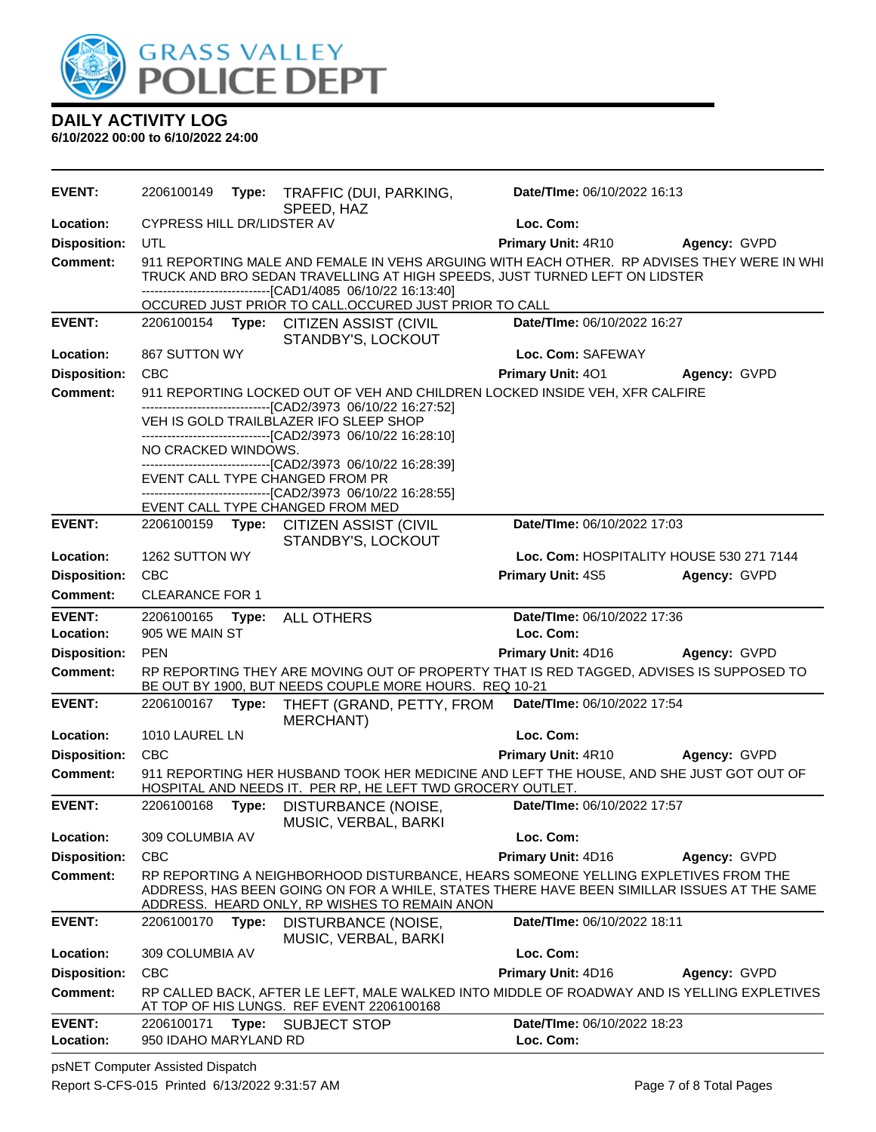

**6/10/2022 00:00 to 6/10/2022 24:00**

| <b>EVENT:</b>              | 2206100149                          |       | Type: TRAFFIC (DUI, PARKING,<br>SPEED, HAZ                                                                                                                                                                                              | Date/TIme: 06/10/2022 16:13              |                     |
|----------------------------|-------------------------------------|-------|-----------------------------------------------------------------------------------------------------------------------------------------------------------------------------------------------------------------------------------------|------------------------------------------|---------------------|
| Location:                  | <b>CYPRESS HILL DR/LIDSTER AV</b>   |       |                                                                                                                                                                                                                                         | Loc. Com:                                |                     |
| <b>Disposition:</b>        | UTL                                 |       |                                                                                                                                                                                                                                         | <b>Primary Unit: 4R10</b>                | Agency: GVPD        |
| Comment:                   |                                     |       | 911 REPORTING MALE AND FEMALE IN VEHS ARGUING WITH EACH OTHER. RP ADVISES THEY WERE IN WHI<br>TRUCK AND BRO SEDAN TRAVELLING AT HIGH SPEEDS, JUST TURNED LEFT ON LIDSTER<br>------------------------------[CAD1/4085 06/10/22 16:13:40] |                                          |                     |
|                            |                                     |       | OCCURED JUST PRIOR TO CALL.OCCURED JUST PRIOR TO CALL                                                                                                                                                                                   |                                          |                     |
| <b>EVENT:</b>              |                                     |       | 2206100154 Type: CITIZEN ASSIST (CIVIL<br>STANDBY'S, LOCKOUT                                                                                                                                                                            | Date/TIme: 06/10/2022 16:27              |                     |
| Location:                  | 867 SUTTON WY                       |       |                                                                                                                                                                                                                                         | Loc. Com: SAFEWAY                        |                     |
| <b>Disposition:</b>        | <b>CBC</b>                          |       |                                                                                                                                                                                                                                         | Primary Unit: 401                        | Agency: GVPD        |
| <b>Comment:</b>            |                                     |       | 911 REPORTING LOCKED OUT OF VEH AND CHILDREN LOCKED INSIDE VEH, XFR CALFIRE<br>-------------------------------[CAD2/3973_06/10/22_16:27:52]                                                                                             |                                          |                     |
|                            |                                     |       | VEH IS GOLD TRAILBLAZER IFO SLEEP SHOP<br>-------------------------------[CAD2/3973_06/10/22_16:28:10]                                                                                                                                  |                                          |                     |
|                            | NO CRACKED WINDOWS.                 |       |                                                                                                                                                                                                                                         |                                          |                     |
|                            |                                     |       | -------------------------------[CAD2/3973_06/10/22_16:28:39]<br>EVENT CALL TYPE CHANGED FROM PR<br>-------------------------------[CAD2/3973_06/10/22_16:28:55]                                                                         |                                          |                     |
|                            |                                     |       | EVENT CALL TYPE CHANGED FROM MED                                                                                                                                                                                                        |                                          |                     |
| <b>EVENT:</b>              | 2206100159                          |       | Type: CITIZEN ASSIST (CIVIL<br>STANDBY'S, LOCKOUT                                                                                                                                                                                       | Date/TIme: 06/10/2022 17:03              |                     |
| Location:                  | 1262 SUTTON WY                      |       |                                                                                                                                                                                                                                         | Loc. Com: HOSPITALITY HOUSE 530 271 7144 |                     |
| <b>Disposition:</b>        | <b>CBC</b>                          |       |                                                                                                                                                                                                                                         | Primary Unit: 4S5                        | Agency: GVPD        |
| <b>Comment:</b>            | <b>CLEARANCE FOR 1</b>              |       |                                                                                                                                                                                                                                         |                                          |                     |
| <b>EVENT:</b><br>Location: | 2206100165<br>905 WE MAIN ST        | Type: | <b>ALL OTHERS</b>                                                                                                                                                                                                                       | Date/TIme: 06/10/2022 17:36<br>Loc. Com: |                     |
| <b>Disposition:</b>        | <b>PEN</b>                          |       |                                                                                                                                                                                                                                         | Primary Unit: 4D16                       | <b>Agency: GVPD</b> |
| <b>Comment:</b>            |                                     |       | RP REPORTING THEY ARE MOVING OUT OF PROPERTY THAT IS RED TAGGED, ADVISES IS SUPPOSED TO<br>BE OUT BY 1900, BUT NEEDS COUPLE MORE HOURS. REQ 10-21                                                                                       |                                          |                     |
| <b>EVENT:</b>              | 2206100167 Type:                    |       | THEFT (GRAND, PETTY, FROM<br><b>MERCHANT</b> )                                                                                                                                                                                          | Date/TIme: 06/10/2022 17:54              |                     |
| Location:                  | 1010 LAUREL LN                      |       |                                                                                                                                                                                                                                         | Loc. Com:                                |                     |
| <b>Disposition:</b>        | <b>CBC</b>                          |       |                                                                                                                                                                                                                                         | <b>Primary Unit: 4R10</b>                | Agency: GVPD        |
| <b>Comment:</b>            |                                     |       | 911 REPORTING HER HUSBAND TOOK HER MEDICINE AND LEFT THE HOUSE, AND SHE JUST GOT OUT OF<br>HOSPITAL AND NEEDS IT. PER RP, HE LEFT TWD GROCERY OUTLET.                                                                                   |                                          |                     |
| <b>EVENT:</b>              | 2206100168                          | Type: | <b>DISTURBANCE (NOISE,</b><br>MUSIC, VERBAL, BARKI                                                                                                                                                                                      | Date/TIme: 06/10/2022 17:57              |                     |
| Location:                  | 309 COLUMBIA AV                     |       |                                                                                                                                                                                                                                         | Loc. Com:                                |                     |
| <b>Disposition:</b>        | <b>CBC</b>                          |       |                                                                                                                                                                                                                                         | Primary Unit: 4D16                       | Agency: GVPD        |
| <b>Comment:</b>            |                                     |       | RP REPORTING A NEIGHBORHOOD DISTURBANCE, HEARS SOMEONE YELLING EXPLETIVES FROM THE<br>ADDRESS, HAS BEEN GOING ON FOR A WHILE, STATES THERE HAVE BEEN SIMILLAR ISSUES AT THE SAME<br>ADDRESS. HEARD ONLY, RP WISHES TO REMAIN ANON       |                                          |                     |
| <b>EVENT:</b>              | 2206100170                          | Type: | DISTURBANCE (NOISE,<br>MUSIC, VERBAL, BARKI                                                                                                                                                                                             | Date/TIme: 06/10/2022 18:11              |                     |
| Location:                  | 309 COLUMBIA AV                     |       |                                                                                                                                                                                                                                         | Loc. Com:                                |                     |
| <b>Disposition:</b>        | <b>CBC</b>                          |       |                                                                                                                                                                                                                                         | Primary Unit: 4D16                       | Agency: GVPD        |
| <b>Comment:</b>            |                                     |       | RP CALLED BACK, AFTER LE LEFT, MALE WALKED INTO MIDDLE OF ROADWAY AND IS YELLING EXPLETIVES<br>AT TOP OF HIS LUNGS. REF EVENT 2206100168                                                                                                |                                          |                     |
| <b>EVENT:</b><br>Location: | 2206100171<br>950 IDAHO MARYLAND RD |       | Type: SUBJECT STOP                                                                                                                                                                                                                      | Date/TIme: 06/10/2022 18:23<br>Loc. Com: |                     |

psNET Computer Assisted Dispatch Report S-CFS-015 Printed 6/13/2022 9:31:57 AM Page 7 of 8 Total Pages